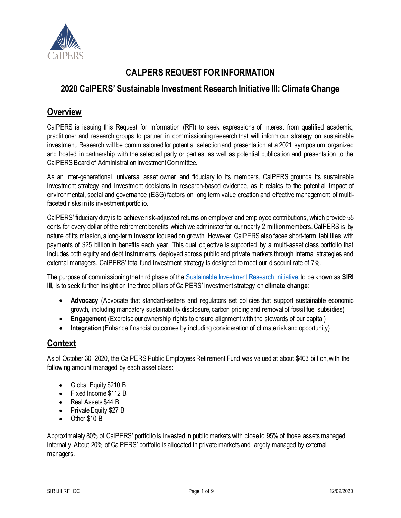

## **CALPERS REQUEST FOR INFORMATION**

## **2020 CalPERS' Sustainable Investment Research Initiative III: Climate Change**

### **Overview**

CalPERS is issuing this Request for Information (RFI) to seek expressions of interest from qualified academic, practitioner and research groups to partner in commissioning research that will inform our strategy on sustainable investment. Research will be commissioned for potential selection and presentation at a 2021 symposium, organized and hosted in partnership with the selected party or parties, as well as potential publication and presentation to the CalPERS Board of Administration Investment Committee.

As an inter-generational, universal asset owner and fiduciary to its members, CalPERS grounds its sustainable investment strategy and investment decisions in research-based evidence, as it relates to the potential impact of environmental, social and governance (ESG) factors on long term value creation and effective management of multifaceted risks in its investment portfolio.

CalPERS' fiduciary duty is to achieve risk-adjusted returns on employer and employee contributions, which provide 55 cents for every dollar of the retirement benefits which we administer for our nearly 2 million members. CalPERS is, by nature of its mission, along-term investor focused on growth. However, CalPERS also faces short-term liabilities, with payments of \$25 billion in benefits each year. This dual objective is supported by a multi-asset class portfolio that includes both equity and debt instruments, deployed across public and private markets through internal strategies and external managers. CalPERS' total fund investment strategy is designed to meet our discount rate of 7%.

The purpose of commissioningthe third phase of the [Sustainable Investment Research Initiative,](https://www.calpers.ca.gov/page/investments/sustainable-investments-program/esg-integration/siri-library) to be known as **SIRI III**, is to seek further insight on the three pillars of CalPERS' investment strategy on **climate change**:

- **Advocacy** (Advocate that standard-setters and regulators set policies that support sustainable economic growth, including mandatory sustainability disclosure, carbon pricing and removal of fossil fuel subsidies)
- **Engagement** (Exercise our ownership rights to ensure alignment with the stewards of our capital)
- **Integration** (Enhance financial outcomes by including consideration of climate risk and opportunity)

## **Context**

As of October 30, 2020, the CalPERS Public Employees Retirement Fund was valued at about \$403 billion, with the following amount managed by each asset class:

- Global Equity \$210 B
- Fixed Income \$112 B
- Real Assets \$44 B
- Private Equity \$27 B
- Other \$10 B

Approximately 80% of CalPERS' portfolio is invested in public markets with close to 95% of those assets managed internally.About 20% of CalPERS' portfolio is allocated in private markets and largely managed by external managers.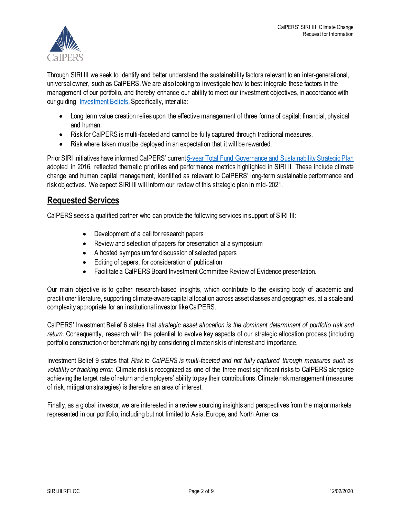

Through SIRI III we seek to identify and better understand the sustainability factors relevant to an inter-generational, universal owner, such as CalPERS. We are also looking to investigate how to best integrate these factors in the management of our portfolio, and thereby enhance our ability to meet our investment objectives, in accordance with our quiding [Investment Beliefs.](https://www.calpers.ca.gov/page/about/organization/calpers-story/our-mission-vision#investment-beliefs) Specifically, inter alia:

- Long term value creation relies upon the effective management of three forms of capital: financial, physical and human.
- Risk for CalPERS is multi-faceted and cannot be fully captured through traditional measures.
- Risk where taken must be deployed in an expectation that it will be rewarded.

Prior SIRI initiatives have informed CalPERS' current 5-year [Total Fund Governance and Sustainability Strategic Plan](https://www.calpers.ca.gov/docs/governance-sustainability-strategic-plan-update.pdf) adopted in 2016, reflected thematic priorities and performance metrics highlighted in SIRI II. These include climate change and human capital management, identified as relevant to CalPERS' long-term sustainable performance and risk objectives. We expect SIRI III will inform our review of this strategic plan in mid- 2021.

## **Requested Services**

CalPERS seeks a qualified partner who can provide the following services in support of SIRI III:

- Development of a call for research papers
- Review and selection of papers for presentation at a symposium
- A hosted symposium for discussion of selected papers
- Editing of papers, for consideration of publication
- Facilitate a CalPERS Board Investment Committee Review of Evidence presentation.

Our main objective is to gather research-based insights, which contribute to the existing body of academic and practitioner literature, supporting climate-aware capital allocation across asset classes and geographies, at a scale and complexity appropriate for an institutional investor like CalPERS.

CalPERS' Investment Belief 6 states that *strategic asset allocation is the dominant determinant of portfolio risk and return*. Consequently, research with the potential to evolve key aspects of our strategic allocation process (including portfolio construction or benchmarking) by considering climate risk is of interest and importance.

Investment Belief 9 states that *Risk to CalPERS is multi-faceted and not fully captured through measures such as volatility or tracking error.* Climate risk is recognized as one of the three most significant risks to CalPERS alongside achieving the target rate of return and employers' ability to pay their contributions. Climate risk management (measures of risk, mitigation strategies) is therefore an area of interest.

Finally, as a global investor, we are interested in a review sourcing insights and perspectives from the major markets represented in our portfolio, including but not limited to Asia, Europe, and North America.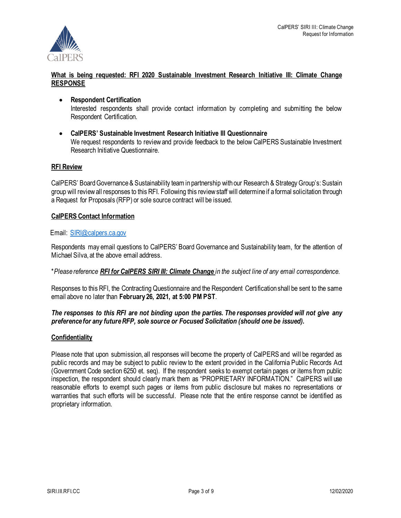

#### **What is being requested: RFI 2020 Sustainable Investment Research Initiative III: Climate Change RESPONSE**

- **Respondent Certification** Interested respondents shall provide contact information by completing and submitting the below Respondent Certification.
- **CalPERS' Sustainable Investment Research Initiative III Questionnaire** We request respondents to review and provide feedback to the below CalPERS Sustainable Investment Research Initiative Questionnaire.

#### **RFI Review**

CalPERS' Board Governance & Sustainability team in partnership with our Research & StrategyGroup's: Sustain group will review all responses to this RFI. Following this review staff will determine if a formal solicitation through a Request for Proposals (RFP) or sole source contract will be issued.

#### **CalPERS Contact Information**

#### Email: [SIRI@calpers.ca.gov](mailto:SIRI@calpers.ca.gov)

Respondents may email questions to CalPERS' Board Governance and Sustainability team, for the attention of Michael Silva, at the above email address.

#### \**Please reference RFI for CalPERS SIRI III: Climate Change in the subject line of any email correspondence.*

Responses to this RFI, the Contracting Questionnaire and the Respondent Certification shall be sent to the same email above no later than **February 26, 2021, at 5:00 PM PST**.

#### *The responses to this RFI are not binding upon the parties. The responses provided will not give any preference for any futureRFP, sole source or Focused Solicitation (should one be issued).*

#### **Confidentiality**

Please note that upon submission, all responses will become the property of CalPERS and will be regarded as public records and may be subject to public review to the extent provided in the California Public Records Act (Government Code section 6250 et. seq). If the respondent seeks to exempt certain pages or items from public inspection, the respondent should clearly mark them as "PROPRIETARY INFORMATION." CalPERS will use reasonable efforts to exempt such pages or items from public disclosure but makes no representations or warranties that such efforts will be successful. Please note that the entire response cannot be identified as proprietary information.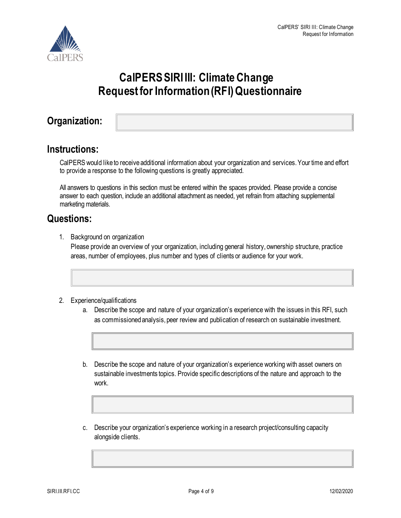

# **CalPERS SIRI III: Climate Change Request for Information (RFI) Questionnaire**

## **Organization:**

## **Instructions:**

CalPERS would like to receive additional information about your organization and services.Your time and effort to provide a response to the following questions is greatly appreciated.

All answers to questions in this section must be entered within the spaces provided. Please provide a concise answer to each question, include an additional attachment as needed, yet refrain from attaching supplemental marketing materials.

## **Questions:**

1. Background on organization

Please provide an overview of your organization, including general history, ownership structure, practice areas, number of employees, plus number and types of clients or audience for your work.

#### 2. Experience/qualifications

- a. Describe the scope and nature of your organization's experience with the issues in this RFI, such as commissioned analysis, peer review and publication of research on sustainable investment.
- b. Describe the scope and nature of your organization's experience working with asset owners on sustainable investments topics. Provide specific descriptions of the nature and approach to the work.
- c. Describe your organization's experience working in a research project/consulting capacity alongside clients.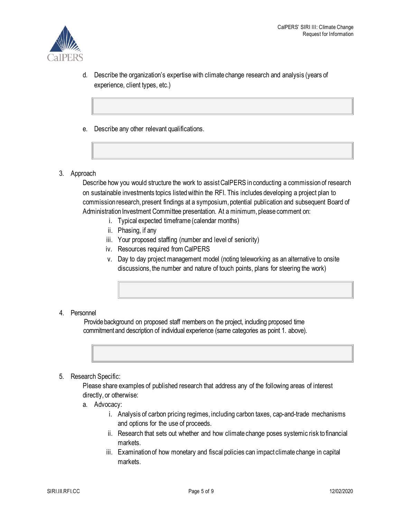

- d. Describe the organization's expertise with climate change research and analysis (years of experience, client types, etc.)
- e. Describe any other relevant qualifications.
- 3. Approach

Describe how you would structure the work to assist CalPERS in conducting a commission of research on sustainable investments topics listed within the RFI. This includes developing a project plan to commission research, present findings at a symposium, potential publication and subsequent Board of Administration Investment Committee presentation. At a minimum, please comment on:

- i. Typical expected timeframe (calendar months)
- ii. Phasing, if any
- iii. Your proposed staffing (number and level of seniority)
- iv. Resources required from CalPERS
- v. Day to day project management model (noting teleworking as an alternative to onsite discussions, the number and nature of touch points, plans for steering the work)

#### 4. Personnel

 Provide background on proposed staff members on the project, including proposed time commitment and description of individual experience (same categories as point 1. above).



5. Research Specific:

Please share examples of published research that address any of the following areas of interest directly, or otherwise:

- a. Advocacy:
	- i. Analysis of carbon pricing regimes, including carbon taxes, cap-and-trade mechanisms and options for the use of proceeds.
	- ii. Research that sets out whether and how climate change poses systemic risk to financial markets.
	- iii. Examination of how monetary and fiscal policies can impact climate change in capital markets.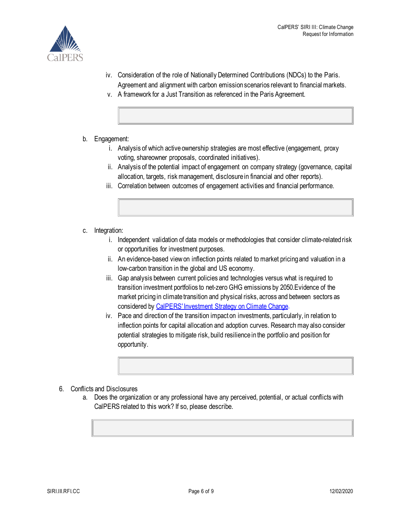

- iv. Consideration of the role of Nationally Determined Contributions (NDCs) to the Paris. Agreement and alignment with carbon emission scenarios relevant to financial markets.
- v. A framework for a Just Transition as referenced in the Paris Agreement.
- b. Engagement:
	- i. Analysis of which active ownership strategies are most effective (engagement, proxy voting, shareowner proposals, coordinated initiatives).
	- ii. Analysis of the potential impact of engagement on company strategy (governance, capital allocation, targets, risk management, disclosure in financial and other reports).
	- iii. Correlation between outcomes of engagement activities and financial performance.
- c. Integration:
	- i. Independent validation of data models or methodologies that consider climate-related risk or opportunities for investment purposes.
	- ii. An evidence-based view on inflection points related to market pricingand valuation in a low-carbon transition in the global and US economy.
	- iii. Gap analysis between current policies and technologies versus what is required to transition investment portfolios to net-zero GHG emissions by 2050.Evidence of the market pricing in climate transition and physical risks, across and between sectors as considered by [CalPERS' Investment Strategy on Climate Change.](https://www.calpers.ca.gov/docs/board-agendas/202006/invest/item08c-01_a.pdf)
	- iv. Pace and direction of the transition impact on investments, particularly, in relation to inflection points for capital allocation and adoption curves. Research may also consider potential strategies to mitigate risk, build resilience in the portfolio and position for opportunity.
- 6. Conflicts and Disclosures
	- a. Does the organization or any professional have any perceived, potential, or actual conflicts with CalPERS related to this work? If so, please describe.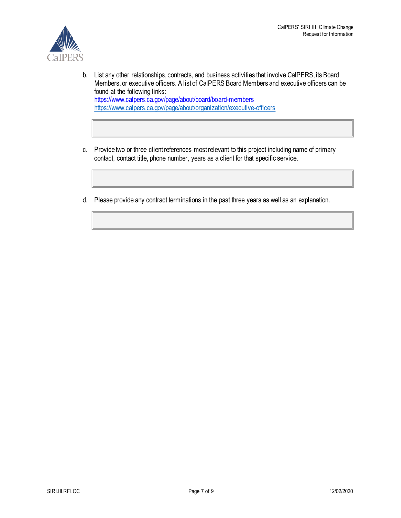

- b. List any other relationships, contracts, and business activities that involve CalPERS, its Board Members, or executive officers. A list of CalPERS Board Members and executive officers can be found at the following links: https://www.calpers.ca.gov/page/about/board/board-members <https://www.calpers.ca.gov/page/about/organization/executive-officers>
- c. Provide two or three client references most relevant to this project including name of primary contact, contact title, phone number, years as a client for that specific service.
- d. Please provide any contract terminations in the past three years as well as an explanation.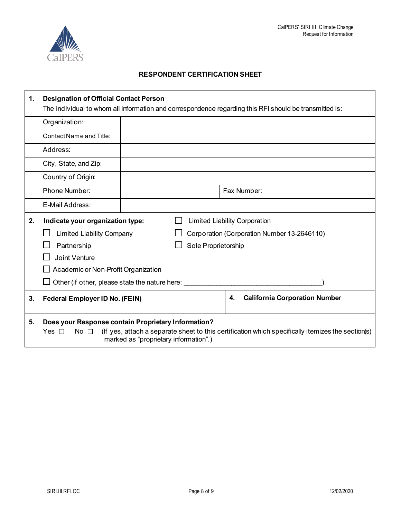

#### **RESPONDENT CERTIFICATION SHEET**

| 1. | <b>Designation of Official Contact Person</b><br>The individual to whom all information and correspondence regarding this RFI should be transmitted is: |                                       |                     |    |                                             |                                                                                                   |
|----|---------------------------------------------------------------------------------------------------------------------------------------------------------|---------------------------------------|---------------------|----|---------------------------------------------|---------------------------------------------------------------------------------------------------|
|    | Organization:                                                                                                                                           |                                       |                     |    |                                             |                                                                                                   |
|    | Contact Name and Title:                                                                                                                                 |                                       |                     |    |                                             |                                                                                                   |
|    | Address:                                                                                                                                                |                                       |                     |    |                                             |                                                                                                   |
|    | City, State, and Zip:                                                                                                                                   |                                       |                     |    |                                             |                                                                                                   |
|    | Country of Origin:                                                                                                                                      |                                       |                     |    |                                             |                                                                                                   |
|    | Phone Number:                                                                                                                                           |                                       |                     |    | Fax Number:                                 |                                                                                                   |
|    | E-Mail Address:                                                                                                                                         |                                       |                     |    |                                             |                                                                                                   |
| 2. | Indicate your organization type:                                                                                                                        | <b>Limited Liability Corporation</b>  |                     |    |                                             |                                                                                                   |
|    | <b>Limited Liability Company</b>                                                                                                                        |                                       |                     |    | Corporation (Corporation Number 13-2646110) |                                                                                                   |
|    | Partnership                                                                                                                                             |                                       | Sole Proprietorship |    |                                             |                                                                                                   |
|    | <b>Joint Venture</b>                                                                                                                                    |                                       |                     |    |                                             |                                                                                                   |
|    | Academic or Non-Profit Organization                                                                                                                     |                                       |                     |    |                                             |                                                                                                   |
|    | Other (if other, please state the nature here:                                                                                                          |                                       |                     |    |                                             |                                                                                                   |
| 3. | <b>Federal Employer ID No. (FEIN)</b>                                                                                                                   |                                       |                     | 4. | <b>California Corporation Number</b>        |                                                                                                   |
| 5. | Does your Response contain Proprietary Information?<br>No $\square$<br>Yes $\Box$                                                                       | marked as "proprietary information".) |                     |    |                                             | (If yes, attach a separate sheet to this certification which specifically itemizes the section(s) |